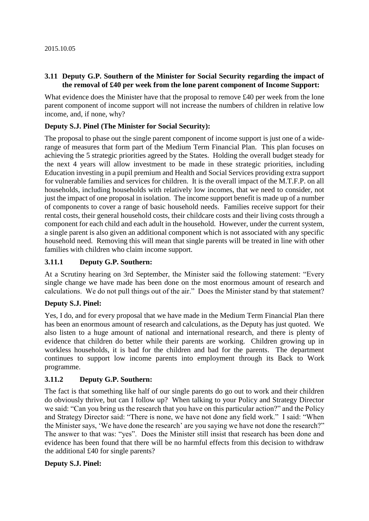### **3.11 Deputy G.P. Southern of the Minister for Social Security regarding the impact of the removal of £40 per week from the lone parent component of Income Support:**

What evidence does the Minister have that the proposal to remove £40 per week from the lone parent component of income support will not increase the numbers of children in relative low income, and, if none, why?

#### **Deputy S.J. Pinel (The Minister for Social Security):**

The proposal to phase out the single parent component of income support is just one of a widerange of measures that form part of the Medium Term Financial Plan. This plan focuses on achieving the 5 strategic priorities agreed by the States. Holding the overall budget steady for the next 4 years will allow investment to be made in these strategic priorities, including Education investing in a pupil premium and Health and Social Services providing extra support for vulnerable families and services for children. It is the overall impact of the M.T.F.P. on all households, including households with relatively low incomes, that we need to consider, not just the impact of one proposal in isolation. The income support benefit is made up of a number of components to cover a range of basic household needs. Families receive support for their rental costs, their general household costs, their childcare costs and their living costs through a component for each child and each adult in the household. However, under the current system, a single parent is also given an additional component which is not associated with any specific household need. Removing this will mean that single parents will be treated in line with other families with children who claim income support.

### **3.11.1 Deputy G.P. Southern:**

At a Scrutiny hearing on 3rd September, the Minister said the following statement: "Every single change we have made has been done on the most enormous amount of research and calculations. We do not pull things out of the air." Does the Minister stand by that statement?

#### **Deputy S.J. Pinel:**

Yes, I do, and for every proposal that we have made in the Medium Term Financial Plan there has been an enormous amount of research and calculations, as the Deputy has just quoted. We also listen to a huge amount of national and international research, and there is plenty of evidence that children do better while their parents are working. Children growing up in workless households, it is bad for the children and bad for the parents. The department continues to support low income parents into employment through its Back to Work programme.

### **3.11.2 Deputy G.P. Southern:**

The fact is that something like half of our single parents do go out to work and their children do obviously thrive, but can I follow up? When talking to your Policy and Strategy Director we said: "Can you bring us the research that you have on this particular action?" and the Policy and Strategy Director said: "There is none, we have not done any field work." I said: "When the Minister says, 'We have done the research' are you saying we have not done the research?" The answer to that was: "yes". Does the Minister still insist that research has been done and evidence has been found that there will be no harmful effects from this decision to withdraw the additional £40 for single parents?

#### **Deputy S.J. Pinel:**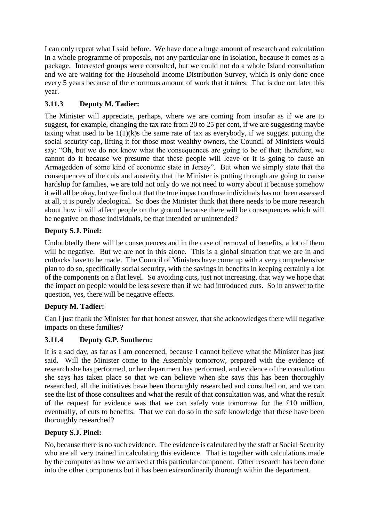I can only repeat what I said before. We have done a huge amount of research and calculation in a whole programme of proposals, not any particular one in isolation, because it comes as a package. Interested groups were consulted, but we could not do a whole Island consultation and we are waiting for the Household Income Distribution Survey, which is only done once every 5 years because of the enormous amount of work that it takes. That is due out later this year.

# **3.11.3 Deputy M. Tadier:**

The Minister will appreciate, perhaps, where we are coming from insofar as if we are to suggest, for example, changing the tax rate from 20 to 25 per cent, if we are suggesting maybe taxing what used to be  $1(1)(k)$ s the same rate of tax as everybody, if we suggest putting the social security cap, lifting it for those most wealthy owners, the Council of Ministers would say: "Oh, but we do not know what the consequences are going to be of that; therefore, we cannot do it because we presume that these people will leave or it is going to cause an Armageddon of some kind of economic state in Jersey". But when we simply state that the consequences of the cuts and austerity that the Minister is putting through are going to cause hardship for families, we are told not only do we not need to worry about it because somehow it will all be okay, but we find out that the true impact on those individuals has not been assessed at all, it is purely ideological. So does the Minister think that there needs to be more research about how it will affect people on the ground because there will be consequences which will be negative on those individuals, be that intended or unintended?

## **Deputy S.J. Pinel:**

Undoubtedly there will be consequences and in the case of removal of benefits, a lot of them will be negative. But we are not in this alone. This is a global situation that we are in and cutbacks have to be made. The Council of Ministers have come up with a very comprehensive plan to do so, specifically social security, with the savings in benefits in keeping certainly a lot of the components on a flat level. So avoiding cuts, just not increasing, that way we hope that the impact on people would be less severe than if we had introduced cuts. So in answer to the question, yes, there will be negative effects.

## **Deputy M. Tadier:**

Can I just thank the Minister for that honest answer, that she acknowledges there will negative impacts on these families?

## **3.11.4 Deputy G.P. Southern:**

It is a sad day, as far as I am concerned, because I cannot believe what the Minister has just said. Will the Minister come to the Assembly tomorrow, prepared with the evidence of research she has performed, or her department has performed, and evidence of the consultation she says has taken place so that we can believe when she says this has been thoroughly researched, all the initiatives have been thoroughly researched and consulted on, and we can see the list of those consultees and what the result of that consultation was, and what the result of the request for evidence was that we can safely vote tomorrow for the £10 million, eventually, of cuts to benefits. That we can do so in the safe knowledge that these have been thoroughly researched?

## **Deputy S.J. Pinel:**

No, because there is no such evidence. The evidence is calculated by the staff at Social Security who are all very trained in calculating this evidence. That is together with calculations made by the computer as how we arrived at this particular component. Other research has been done into the other components but it has been extraordinarily thorough within the department.